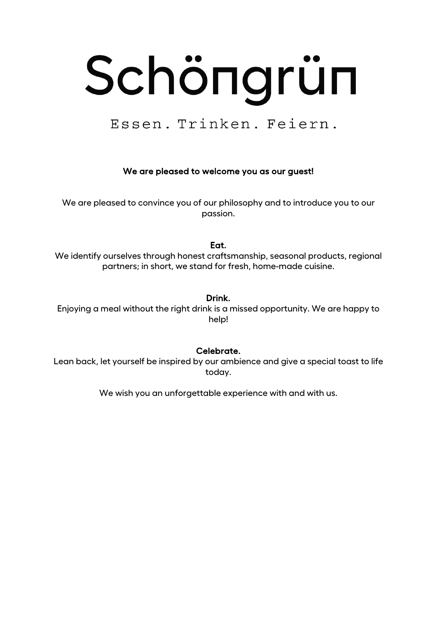# Schöngrün

Essen. Trinken. Feiern.

#### We are pleased to welcome you as our guest!

We are pleased to convince you of our philosophy and to introduce you to our passion.

#### Eat.

We identify ourselves through honest craftsmanship, seasonal products, regional partners; in short, we stand for fresh, home-made cuisine.

#### Drink.

Enjoying a meal without the right drink is a missed opportunity. We are happy to help!

#### Celebrate.

Lean back, let yourself be inspired by our ambience and give a special toast to life today.

We wish you an unforgettable experience with and with us.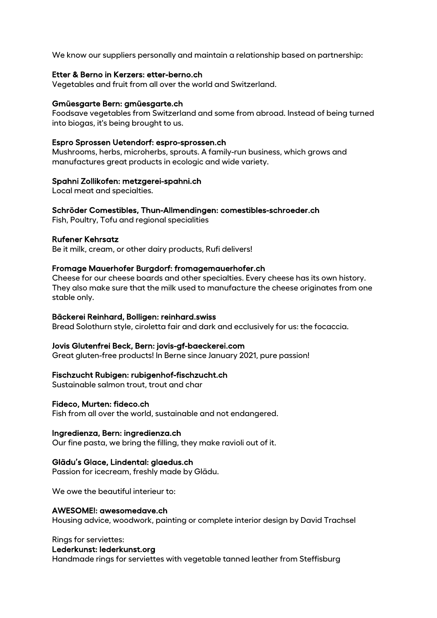We know our suppliers personally and maintain a relationship based on partnership:

#### Etter & Berno in Kerzers: etter-berno.ch

Vegetables and fruit from all over the world and Switzerland.

#### Gmüesgarte Bern: gmüesgarte.ch

Foodsave vegetables from Switzerland and some from abroad. Instead of being turned into biogas, it's being brought to us.

#### Espro Sprossen Uetendorf: espro-sprossen.ch

Mushrooms, herbs, microherbs, sprouts. A family-run business, which grows and manufactures great products in ecologic and wide variety.

#### Spahni Zollikofen: metzgerei-spahni.ch

Local meat and specialties.

#### Schröder Comestibles, Thun-Allmendingen: comestibles-schroeder.ch

Fish, Poultry, Tofu and regional specialities

#### Rufener Kehrsatz

Be it milk, cream, or other dairy products, Rufi delivers!

#### Fromage Mauerhofer Burgdorf: fromagemauerhofer.ch

Cheese for our cheese boards and other specialties. Every cheese has its own history. They also make sure that the milk used to manufacture the cheese originates from one stable only.

#### Bäckerei Reinhard, Bolligen: reinhard.swiss

Bread Solothurn style, ciroletta fair and dark and ecclusively for us: the focaccia.

#### Jovis Glutenfrei Beck, Bern: jovis-gf-baeckerei.com

Great gluten-free products! In Berne since January 2021, pure passion!

#### Fischzucht Rubigen: rubigenhof-fischzucht.ch

Sustainable salmon trout, trout and char

#### Fideco, Murten: fideco.ch

Fish from all over the world, sustainable and not endangered.

#### Ingredienza, Bern: ingredienza.ch

Our fine pasta, we bring the filling, they make ravioli out of it.

#### Glädu's Glace, Lindental: glaedus.ch

Passion for icecream, freshly made by Glädu.

We owe the beautiful interieur to:

#### AWESOME!: awesomedave.ch

Housing advice, woodwork, painting or complete interior design by David Trachsel

#### Rings for serviettes:

#### Lederkunst: lederkunst.org

Handmade rings for serviettes with vegetable tanned leather from Steffisburg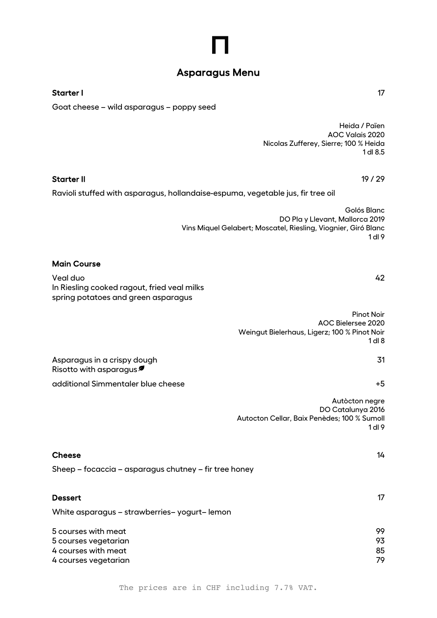# Asparagus Menu

Starter II 19 / 29

#### Starter I and the starter in the starter in the starter in the starter in the starter in the starter in the starter in the starter in the starter in the starter in the starter in the starter in the starter in the starter i

Goat cheese – wild asparagus – poppy seed

Heida / Païen AOC Valais 2020 Nicolas Zufferey, Sierre; 100 % Heida 1 dl 8.5

| Ravioli stuffed with asparagus, hollandaise-espuma, vegetable jus, fir tree oil                |                                                                                                                                    |
|------------------------------------------------------------------------------------------------|------------------------------------------------------------------------------------------------------------------------------------|
|                                                                                                | Golós Blanc<br>DO Play Llevant, Mallorca 2019<br>Vins Miquel Gelabert; Moscatel, Riesling, Viognier, Giró Blanc<br>1 <sub>dl</sub> |
| <b>Main Course</b>                                                                             |                                                                                                                                    |
| Veal duo<br>In Riesling cooked ragout, fried veal milks<br>spring potatoes and green asparagus | 42                                                                                                                                 |
|                                                                                                | <b>Pinot Noir</b><br>AOC Bielersee 2020<br>Weingut Bielerhaus, Ligerz; 100 % Pinot Noir<br>1 <sub>dl</sub> 8                       |
| Asparagus in a crispy dough<br>Risotto with asparagus $\blacksquare$                           | 31                                                                                                                                 |
| additional Simmentaler blue cheese                                                             | $+5$                                                                                                                               |
|                                                                                                | Autòcton negre<br>DO Catalunya 2016<br>Autocton Cellar, Baix Penèdes; 100 % Sumoll                                                 |

1 dl 9

| <b>Cheese</b>                                         | 14 |
|-------------------------------------------------------|----|
| Sheep – focaccia – asparagus chutney – fir tree honey |    |
| <b>Dessert</b>                                        | 17 |
| White asparagus - strawberries-yogurt-lemon           |    |

| 5 courses with meat  | 99 |
|----------------------|----|
| 5 courses vegetarian | 93 |
| 4 courses with meat  | 85 |
| 4 courses vegetarian | 79 |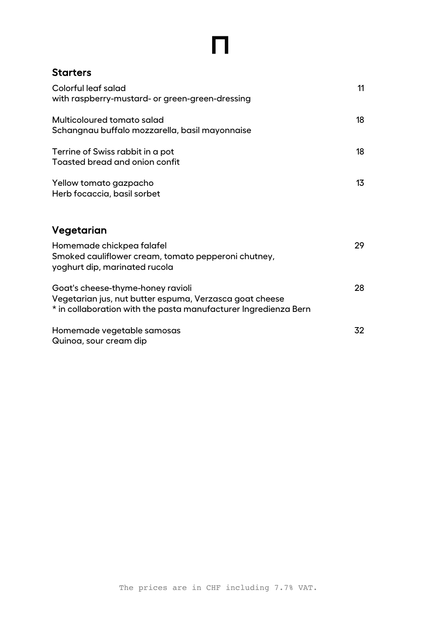### **Starters**

| Colorful leaf salad<br>with raspberry-mustard- or green-green-dressing                                                                                          | 11 |
|-----------------------------------------------------------------------------------------------------------------------------------------------------------------|----|
| Multicoloured tomato salad<br>Schangnau buffalo mozzarella, basil mayonnaise                                                                                    | 18 |
| Terrine of Swiss rabbit in a pot<br>Toasted bread and onion confit                                                                                              | 18 |
| Yellow tomato gazpacho<br>Herb focaccia, basil sorbet                                                                                                           | 13 |
| Vegetarian                                                                                                                                                      |    |
| Homemade chickpea falafel<br>Smoked cauliflower cream, tomato pepperoni chutney,<br>yoghurt dip, marinated rucola                                               | 29 |
| Goat's cheese-thyme-honey ravioli<br>Vegetarian jus, nut butter espuma, Verzasca goat cheese<br>* in collaboration with the pasta manufacturer Ingredienza Bern | 28 |
| Homemade vegetable samosas<br>Quinoa, sour cream dip                                                                                                            | 32 |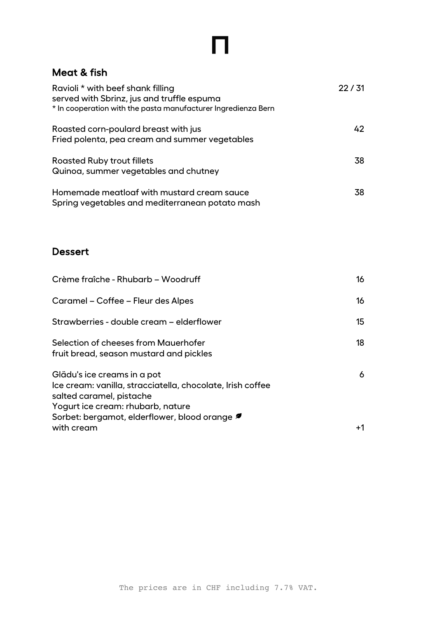### Meat & fish

| Ravioli * with beef shank filling<br>served with Sbrinz, jus and truffle espuma<br>* In cooperation with the pasta manufacturer Ingredienza Bern | 22/31 |
|--------------------------------------------------------------------------------------------------------------------------------------------------|-------|
| Roasted corn-poulard breast with jus<br>Fried polenta, pea cream and summer vegetables                                                           | 42    |
| <b>Roasted Ruby trout fillets</b><br>Quinoa, summer vegetables and chutney                                                                       | 38    |
| Homemade meatloaf with mustard cream sauce<br>Spring vegetables and mediterranean potato mash                                                    | 38    |

# Dessert

| Crème fraîche - Rhubarb - Woodruff                                                                                                                                                                        | 16   |
|-----------------------------------------------------------------------------------------------------------------------------------------------------------------------------------------------------------|------|
| Caramel – Coffee – Fleur des Alpes                                                                                                                                                                        | 16   |
| Strawberries - double cream - elderflower                                                                                                                                                                 | 15   |
| Selection of cheeses from Mauerhofer<br>fruit bread, season mustard and pickles                                                                                                                           | 18   |
| Glädu's ice creams in a pot<br>Ice cream: vanilla, stracciatella, chocolate, Irish coffee<br>salted caramel, pistache<br>Yogurt ice cream: rhubarb, nature<br>Sorbet: bergamot, elderflower, blood orange | 6    |
| with cream                                                                                                                                                                                                | $+1$ |